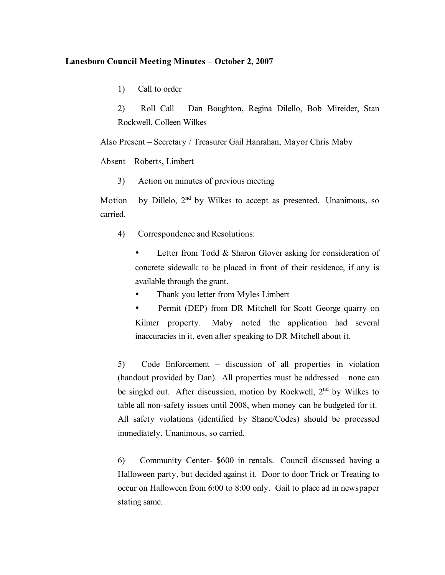## **Lanesboro Council Meeting Minutes – October 2, 2007**

1) Call to order

2) Roll Call – Dan Boughton, Regina Dilello, Bob Mireider, Stan Rockwell, Colleen Wilkes

Also Present – Secretary / Treasurer Gail Hanrahan, Mayor Chris Maby

Absent – Roberts, Limbert

3) Action on minutes of previous meeting

Motion – by Dillelo,  $2<sup>nd</sup>$  by Wilkes to accept as presented. Unanimous, so carried.

4) Correspondence and Resolutions:

Letter from Todd & Sharon Glover asking for consideration of concrete sidewalk to be placed in front of their residence, if any is available through the grant.

Thank you letter from Myles Limbert

Permit (DEP) from DR Mitchell for Scott George quarry on Kilmer property. Maby noted the application had several inaccuracies in it, even after speaking to DR Mitchell about it.

5) Code Enforcement – discussion of all properties in violation (handout provided by Dan). All properties must be addressed – none can be singled out. After discussion, motion by Rockwell, 2<sup>nd</sup> by Wilkes to table all non-safety issues until 2008, when money can be budgeted for it. All safety violations (identified by Shane/Codes) should be processed immediately. Unanimous, so carried.

6) Community Center- \$600 in rentals. Council discussed having a Halloween party, but decided against it. Door to door Trick or Treating to occur on Halloween from 6:00 to 8:00 only. Gail to place ad in newspaper stating same.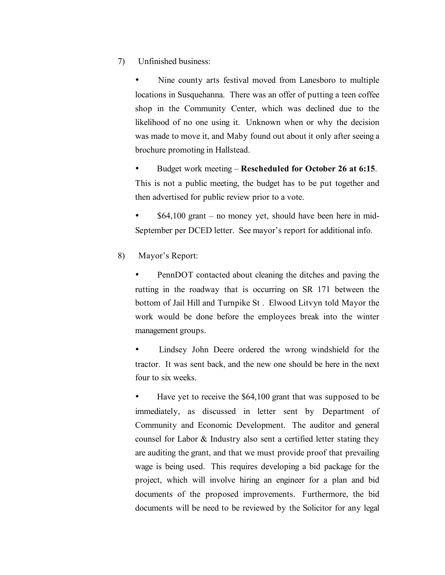7) Unfinished business:

Nine county arts festival moved from Lanesboro to multiple locations in Susquehanna. There was an offer of putting a teen coffee shop in the Community Center, which was declined due to the likelihood of no one using it. Unknown when or why the decision was made to move it, and Maby found out about it only after seeing a brochure promoting in Hallstead.

• Budget work meeting – **Rescheduled for October 26 at 6:15**. This is not a public meeting, the budget has to be put together and then advertised for public review prior to a vote.

 $$64,100$  grant – no money yet, should have been here in mid-September per DCED letter. See mayor's report for additional info.

8) Mayor's Report:

PennDOT contacted about cleaning the ditches and paving the rutting in the roadway that is occurring on SR 171 between the bottom of Jail Hill and Turnpike St . Elwood Litvyn told Mayor the work would be done before the employees break into the winter management groups.

Lindsey John Deere ordered the wrong windshield for the tractor. It was sent back, and the new one should be here in the next four to six weeks.

Have yet to receive the \$64,100 grant that was supposed to be immediately, as discussed in letter sent by Department of Community and Economic Development. The auditor and general counsel for Labor & Industry also sent a certified letter stating they are auditing the grant, and that we must provide proof that prevailing wage is being used. This requires developing a bid package for the project, which will involve hiring an engineer for a plan and bid documents of the proposed improvements. Furthermore, the bid documents will be need to be reviewed by the Solicitor for any legal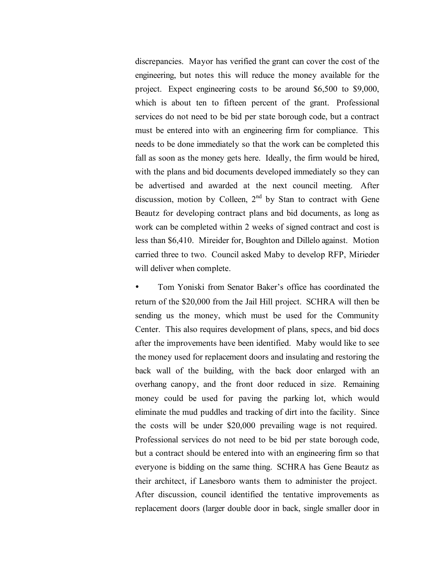discrepancies. Mayor has verified the grant can cover the cost of the engineering, but notes this will reduce the money available for the project. Expect engineering costs to be around \$6,500 to \$9,000, which is about ten to fifteen percent of the grant. Professional services do not need to be bid per state borough code, but a contract must be entered into with an engineering firm for compliance. This needs to be done immediately so that the work can be completed this fall as soon as the money gets here. Ideally, the firm would be hired, with the plans and bid documents developed immediately so they can be advertised and awarded at the next council meeting. After discussion, motion by Colleen,  $2<sup>nd</sup>$  by Stan to contract with Gene Beautz for developing contract plans and bid documents, as long as work can be completed within 2 weeks of signed contract and cost is less than \$6,410. Mireider for, Boughton and Dillelo against. Motion carried three to two. Council asked Maby to develop RFP, Mirieder will deliver when complete.

• Tom Yoniski from Senator Baker's office has coordinated the return of the \$20,000 from the Jail Hill project. SCHRA will then be sending us the money, which must be used for the Community Center. This also requires development of plans, specs, and bid docs after the improvements have been identified. Maby would like to see the money used for replacement doors and insulating and restoring the back wall of the building, with the back door enlarged with an overhang canopy, and the front door reduced in size. Remaining money could be used for paving the parking lot, which would eliminate the mud puddles and tracking of dirt into the facility. Since the costs will be under \$20,000 prevailing wage is not required. Professional services do not need to be bid per state borough code, but a contract should be entered into with an engineering firm so that everyone is bidding on the same thing. SCHRA has Gene Beautz as their architect, if Lanesboro wants them to administer the project. After discussion, council identified the tentative improvements as replacement doors (larger double door in back, single smaller door in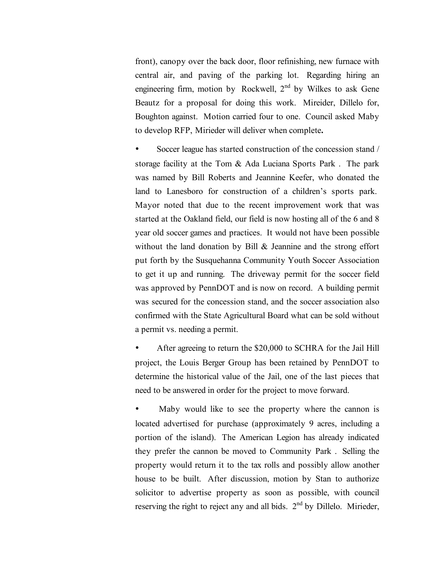front), canopy over the back door, floor refinishing, new furnace with central air, and paving of the parking lot. Regarding hiring an engineering firm, motion by Rockwell,  $2<sup>nd</sup>$  by Wilkes to ask Gene Beautz for a proposal for doing this work. Mireider, Dillelo for, Boughton against. Motion carried four to one. Council asked Maby to develop RFP, Mirieder will deliver when complete**.**

Soccer league has started construction of the concession stand / storage facility at the Tom & Ada Luciana Sports Park . The park was named by Bill Roberts and Jeannine Keefer, who donated the land to Lanesboro for construction of a children's sports park. Mayor noted that due to the recent improvement work that was started at the Oakland field, our field is now hosting all of the 6 and 8 year old soccer games and practices. It would not have been possible without the land donation by Bill & Jeannine and the strong effort put forth by the Susquehanna Community Youth Soccer Association to get it up and running. The driveway permit for the soccer field was approved by PennDOT and is now on record. A building permit was secured for the concession stand, and the soccer association also confirmed with the State Agricultural Board what can be sold without a permit vs. needing a permit.

• After agreeing to return the \$20,000 to SCHRA for the Jail Hill project, the Louis Berger Group has been retained by PennDOT to determine the historical value of the Jail, one of the last pieces that need to be answered in order for the project to move forward.

Maby would like to see the property where the cannon is located advertised for purchase (approximately 9 acres, including a portion of the island). The American Legion has already indicated they prefer the cannon be moved to Community Park . Selling the property would return it to the tax rolls and possibly allow another house to be built. After discussion, motion by Stan to authorize solicitor to advertise property as soon as possible, with council reserving the right to reject any and all bids. 2<sup>nd</sup> by Dillelo. Mirieder,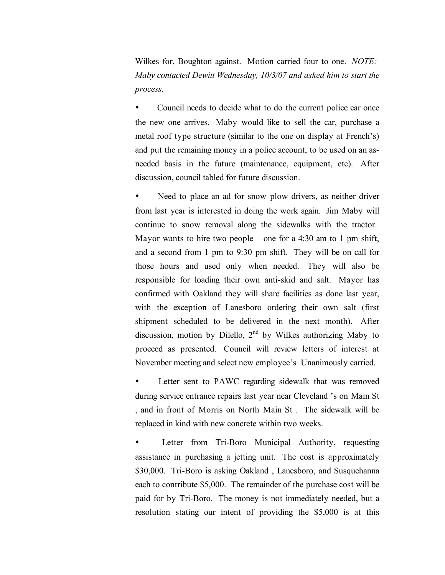Wilkes for, Boughton against. Motion carried four to one. *NOTE: Maby contacted Dewitt Wednesday, 10/3/07 and asked him to start the process.*

Council needs to decide what to do the current police car once the new one arrives. Maby would like to sell the car, purchase a metal roof type structure (similar to the one on display at French's) and put the remaining money in a police account, to be used on an asneeded basis in the future (maintenance, equipment, etc). After discussion, council tabled for future discussion.

Need to place an ad for snow plow drivers, as neither driver from last year is interested in doing the work again. Jim Maby will continue to snow removal along the sidewalks with the tractor. Mayor wants to hire two people – one for a 4:30 am to 1 pm shift, and a second from 1 pm to 9:30 pm shift. They will be on call for those hours and used only when needed. They will also be responsible for loading their own anti-skid and salt. Mayor has confirmed with Oakland they will share facilities as done last year, with the exception of Lanesboro ordering their own salt (first shipment scheduled to be delivered in the next month). After discussion, motion by Dilello,  $2<sup>nd</sup>$  by Wilkes authorizing Maby to proceed as presented. Council will review letters of interest at November meeting and select new employee's Unanimously carried.

Letter sent to PAWC regarding sidewalk that was removed during service entrance repairs last year near Cleveland 's on Main St , and in front of Morris on North Main St . The sidewalk will be replaced in kind with new concrete within two weeks.

Letter from Tri-Boro Municipal Authority, requesting assistance in purchasing a jetting unit. The cost is approximately \$30,000. Tri-Boro is asking Oakland, Lanesboro, and Susquehanna each to contribute \$5,000. The remainder of the purchase cost will be paid for by Tri-Boro. The money is not immediately needed, but a resolution stating our intent of providing the \$5,000 is at this